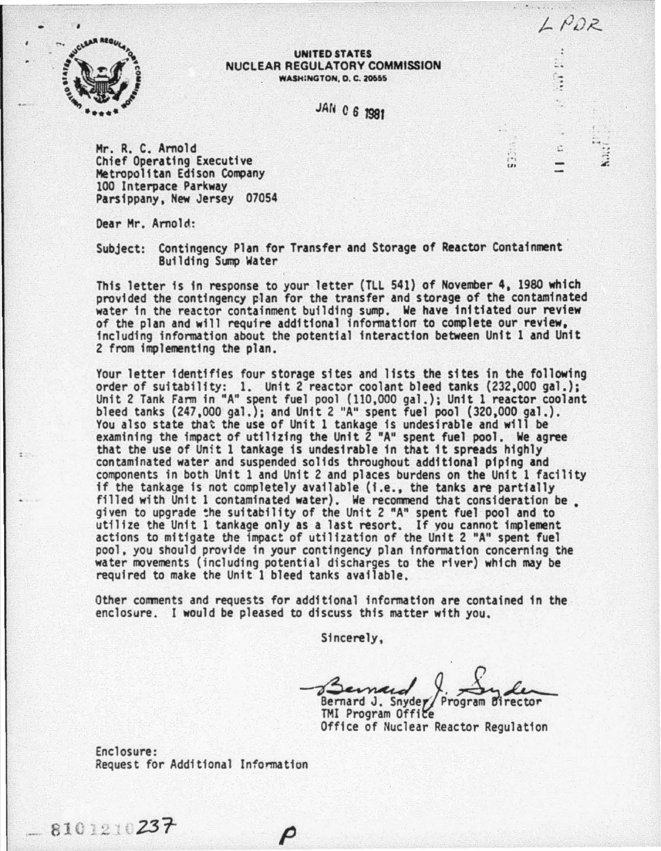

#### UNITED STATES NUCLEAR REGULATORY COMMISSION **WASH:NGTON, D. C. 20655**

JAf~ C *6* J98f

 $\frac{1}{k+1}$ ...

-.

s ċ.

 $\ddot{z}$ 

LPDR

Hr. R. C. Arnold Chief Operating Executive 100 Interpace Parkway<br>Parsippany, New Jersey 07054

Dear Mr. Arnold:

Subject: Contingency Plan for Transfer and Storage of Reactor Containment Building Sump Water

This letter is in response to your letter (TLL 541) of November 4, 1980 which provided the contingency plan for the transfer and storage of the contaminated water in the reactor containment building sump. We have initiated our review of the plan and will require additional information to complete our review, including information about the potential interaction between Unft 1 and Unit 2 from implementing the plan.

Your letter identifies four storage sites and lists the sites in the following<br>order of suitability: 1. Unit 2 reactor coolant bleed tanks (232,000 gal.);<br>Unit 2 Tank Farm in "A" spent fuel pool (110,000 gal.); Unit 1 reac bleed tanks (247,000 gal.); and Unit 2 "A" spent fuel pool (320,000 gal.). You also state that the use of Unit 1 tankage is undesirable and will be examining the impact of utilizing the Unit 2 "A" spent fuel pool. We agree that the use of Unit 1 tankage is undesirable in that it spreads highly contaminated water and suspended solids throughout additional piping and contaminated water and suspended solids throughout additional piping and<br>components in both Unit 1 and Unit 2 and places burdens on the Unit 1 facility<br>if the tankage is not completely available (i.e., the tanks are partia given to upgrade the suitability of the Unit 2 "A" spent fuel pool and to utilize the Unit 1 tankage only as a last resort. If *vou* cannot implement actions to mitigate the impact of utilization of the Unit 2 "A" spent fuel pool, you should provide in your contingency plan information concerning the water movements (including potential discharges to the river) which may be required to make the Unit 1 bleed tanks available.

Other comments and requests for additional information are contained in the enclosure. I would be pleased to discuss this matter with you.

P

Sincerely,

Bernard J. Snyder Bernard J. Snyder Program Birector<br>TMI Program Office<br>Office of Nuclear Reactor Regulation

Bernard J. Snyde TMI Program Office<br>Office of Nuclear Reactor Regulation

Enclosure: Request for Additional Information

 $-81012$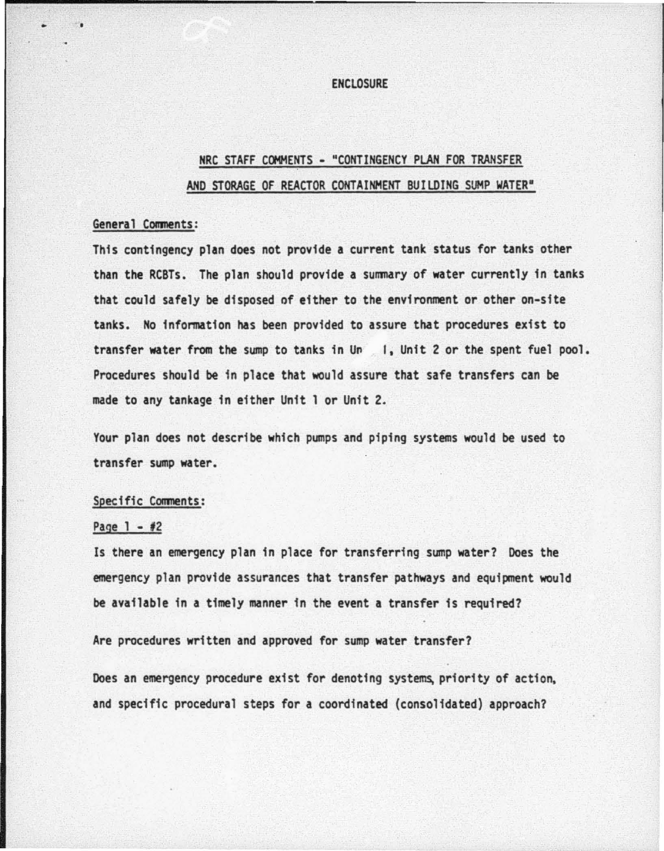#### **ENCLOSURE**

# NRC STAFF COMMENTS - "CONTINGENCY PLAN FOR TRANSFER AND STORAGE OF REACTOR CONTAINMENT BUILDING SUMP WATER"

# General Comments:

..

This contingency plan does not provide a current tank status for tanks other than the RCBTs. The plan should provide a summary of water currently in tanks that could safely be disposed of either to the environment or other on-site tanks. No information has been provided to assure that procedures exist to transfer water from the sump to tanks in Un 1, Unit 2 or the spent fuel pool. Procedures should be in place that would assure that safe transfers can be made to any tankage in either Unit 1 or Unit 2.

Your plan does not describe which pumps and piping systems would be used to transfer sump water.

#### Specific Comments:

# Page  $1 - 1/2$

Is there an emergency plan in place for transferring sump water? Does the emergency plan provide assurances that transfer pathways and equipment would be available in a timely manner in the event a transfer is required?

Are procedures written and approved for sump water transfer?

Does an emergency procedure exist for denoting systems, priority of action. and specific procedural steps for a coordinated (consolidated) approach?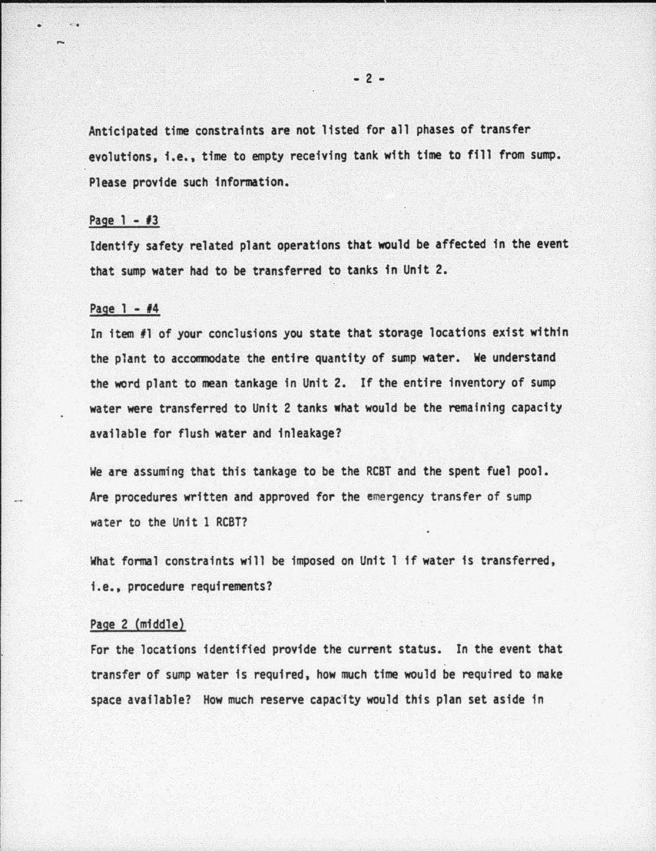Anticipated time constraints are not listed for all phases of transfer evolutions, i.e., time to empty receiving tank with time to fill from sump. Please provide such information.

#### Page 1 - *13*

 $\sim$ 

Identify safety related plant operations that would be affected in the event that sump water had to be transferred to tanks in Unit 2.

## Page 1 - *14*

In item fl of your conclusions you state that storage locations exist within the plant to accommodate the entire quantity of sump water. We understand the word plant to mean tankage in Unit 2. If the entire inventory of sump water were transferred to Unit 2 tanks what would be the remaining capacity available for flush water and inleakage?

We are assuming that this tankage to be the RCBT and the spent fuel pool. Are procedures written and approved for the emergency transfer of sump water to the Unit 1 RCBT?

What formal constraints will be imposed on Unit 1 if water is transferred, i.e., procedure requirements?

# Page 2 (middle}

For the locations identified provide the current status. In the event that transfer of sump water is required, how much time would be required to make space available? How much reserve capac'fty would this plan set aside in